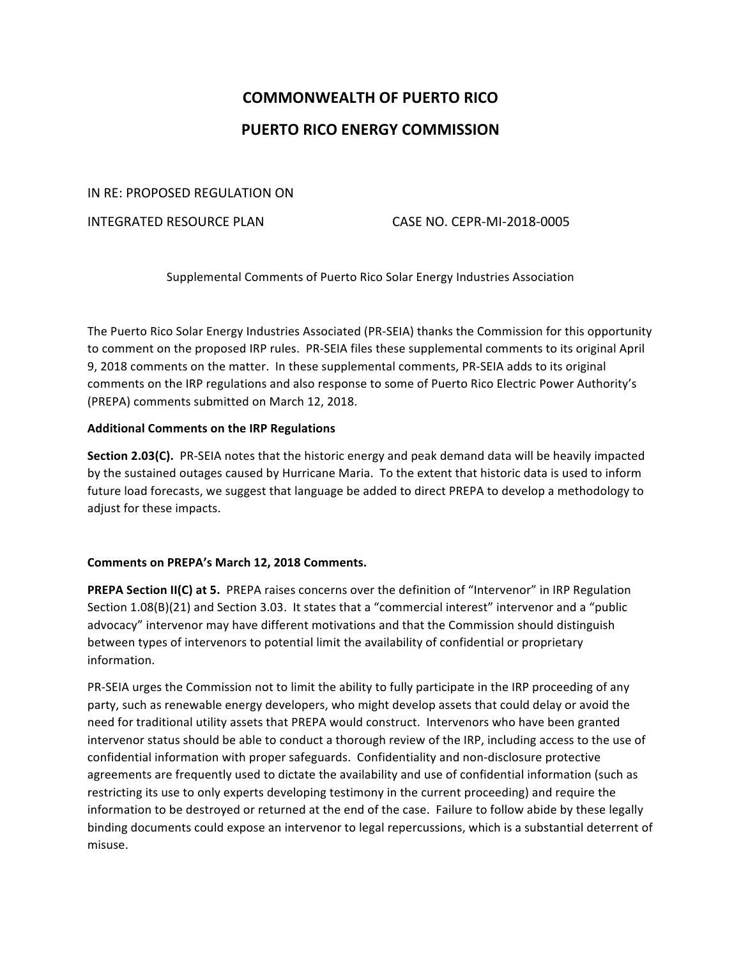# **COMMONWEALTH OF PUERTO RICO PUERTO RICO ENERGY COMMISSION**

## IN RE: PROPOSED REGULATION ON

## INTEGRATED RESOURCE PLAN CASE NO. CEPR-MI-2018-0005

Supplemental Comments of Puerto Rico Solar Energy Industries Association

The Puerto Rico Solar Energy Industries Associated (PR-SEIA) thanks the Commission for this opportunity to comment on the proposed IRP rules. PR-SEIA files these supplemental comments to its original April 9, 2018 comments on the matter. In these supplemental comments, PR-SEIA adds to its original comments on the IRP regulations and also response to some of Puerto Rico Electric Power Authority's (PREPA) comments submitted on March 12, 2018.

## **Additional Comments on the IRP Regulations**

**Section 2.03(C).** PR-SEIA notes that the historic energy and peak demand data will be heavily impacted by the sustained outages caused by Hurricane Maria. To the extent that historic data is used to inform future load forecasts, we suggest that language be added to direct PREPA to develop a methodology to adjust for these impacts.

#### Comments on PREPA's March 12, 2018 Comments.

**PREPA Section II(C) at 5.** PREPA raises concerns over the definition of "Intervenor" in IRP Regulation Section 1.08(B)(21) and Section 3.03. It states that a "commercial interest" intervenor and a "public advocacy" intervenor may have different motivations and that the Commission should distinguish between types of intervenors to potential limit the availability of confidential or proprietary information. 

PR-SEIA urges the Commission not to limit the ability to fully participate in the IRP proceeding of any party, such as renewable energy developers, who might develop assets that could delay or avoid the need for traditional utility assets that PREPA would construct. Intervenors who have been granted intervenor status should be able to conduct a thorough review of the IRP, including access to the use of confidential information with proper safeguards. Confidentiality and non-disclosure protective agreements are frequently used to dictate the availability and use of confidential information (such as restricting its use to only experts developing testimony in the current proceeding) and require the information to be destroyed or returned at the end of the case. Failure to follow abide by these legally binding documents could expose an intervenor to legal repercussions, which is a substantial deterrent of misuse.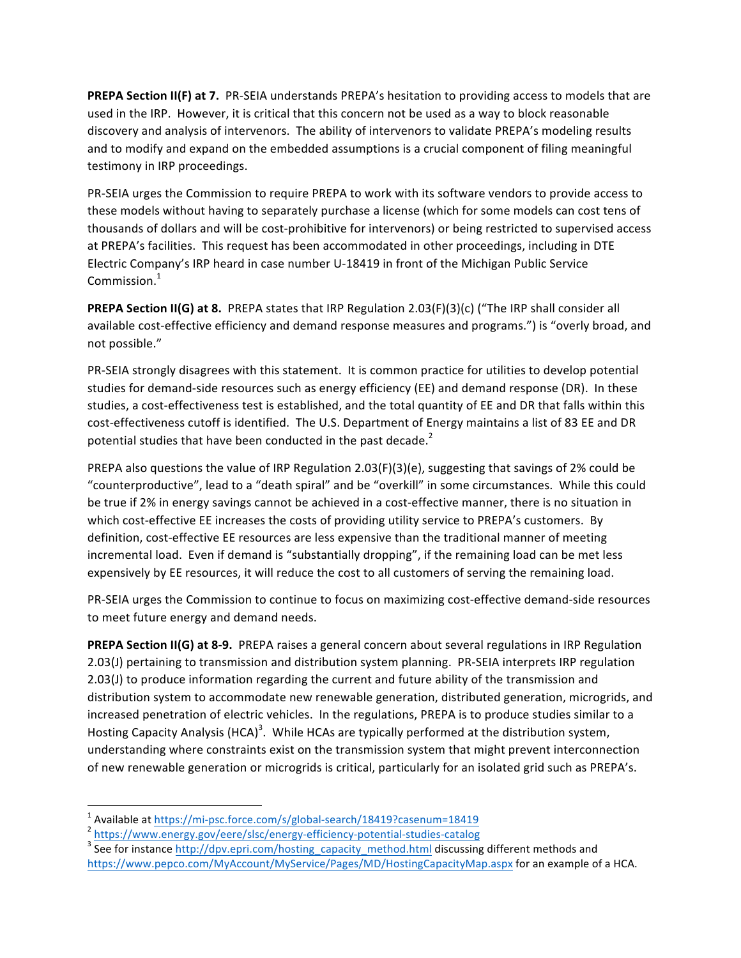**PREPA Section II(F) at 7.** PR-SEIA understands PREPA's hesitation to providing access to models that are used in the IRP. However, it is critical that this concern not be used as a way to block reasonable discovery and analysis of intervenors. The ability of intervenors to validate PREPA's modeling results and to modify and expand on the embedded assumptions is a crucial component of filing meaningful testimony in IRP proceedings.

PR-SEIA urges the Commission to require PREPA to work with its software vendors to provide access to these models without having to separately purchase a license (which for some models can cost tens of thousands of dollars and will be cost-prohibitive for intervenors) or being restricted to supervised access at PREPA's facilities. This request has been accommodated in other proceedings, including in DTE Electric Company's IRP heard in case number U-18419 in front of the Michigan Public Service Commission. $1$ 

**PREPA Section II(G) at 8.** PREPA states that IRP Regulation 2.03(F)(3)(c) ("The IRP shall consider all available cost-effective efficiency and demand response measures and programs.") is "overly broad, and not possible."

PR-SEIA strongly disagrees with this statement. It is common practice for utilities to develop potential studies for demand-side resources such as energy efficiency (EE) and demand response (DR). In these studies, a cost-effectiveness test is established, and the total quantity of EE and DR that falls within this cost-effectiveness cutoff is identified. The U.S. Department of Energy maintains a list of 83 EE and DR potential studies that have been conducted in the past decade.<sup>2</sup>

PREPA also questions the value of IRP Regulation  $2.03(F)(3)(e)$ , suggesting that savings of 2% could be "counterproductive", lead to a "death spiral" and be "overkill" in some circumstances. While this could be true if 2% in energy savings cannot be achieved in a cost-effective manner, there is no situation in which cost-effective EE increases the costs of providing utility service to PREPA's customers. By definition, cost-effective EE resources are less expensive than the traditional manner of meeting incremental load. Even if demand is "substantially dropping", if the remaining load can be met less expensively by EE resources, it will reduce the cost to all customers of serving the remaining load.

PR-SEIA urges the Commission to continue to focus on maximizing cost-effective demand-side resources to meet future energy and demand needs.

**PREPA Section II(G) at 8-9.** PREPA raises a general concern about several regulations in IRP Regulation 2.03(J) pertaining to transmission and distribution system planning. PR-SEIA interprets IRP regulation  $2.03(1)$  to produce information regarding the current and future ability of the transmission and distribution system to accommodate new renewable generation, distributed generation, microgrids, and increased penetration of electric vehicles. In the regulations, PREPA is to produce studies similar to a Hosting Capacity Analysis (HCA)<sup>3</sup>. While HCAs are typically performed at the distribution system, understanding where constraints exist on the transmission system that might prevent interconnection of new renewable generation or microgrids is critical, particularly for an isolated grid such as PREPA's.

 

<sup>&</sup>lt;sup>1</sup> Available at https://mi-psc.force.com/s/global-search/18419?casenum=18419<br>  $\frac{1}{3}$  https://www.energy.gov/eere/slsc/energy-efficiency-potential-studies-catalog<br>  $\frac{1}{3}$  See for instance http://dpv.epri.com/hosting https://www.pepco.com/MyAccount/MyService/Pages/MD/HostingCapacityMap.aspx for an example of a HCA.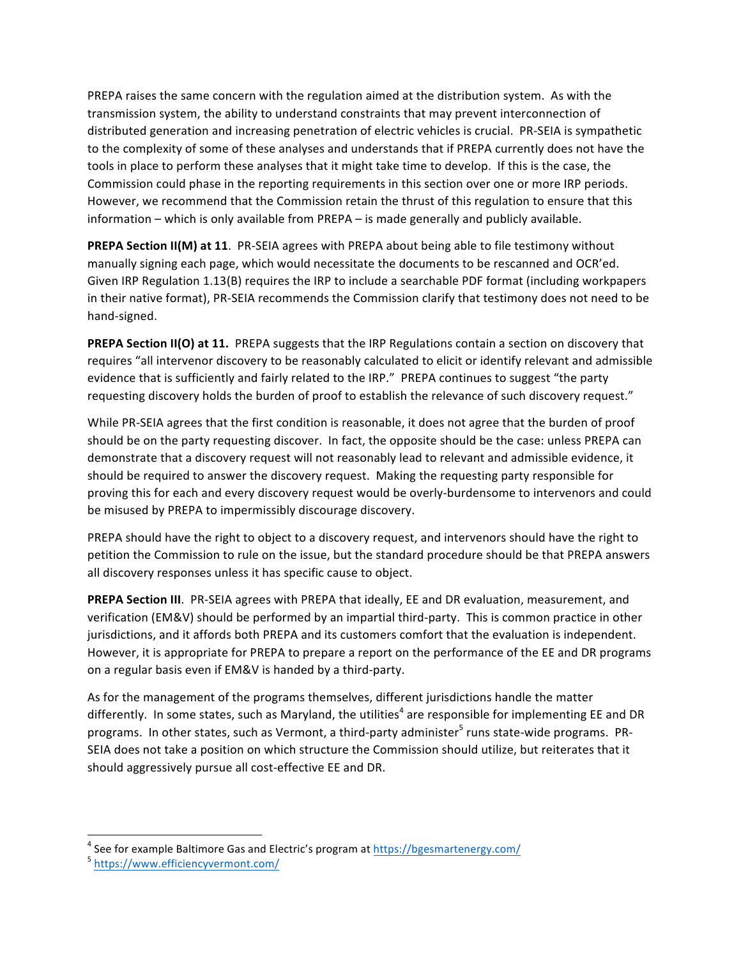PREPA raises the same concern with the regulation aimed at the distribution system. As with the transmission system, the ability to understand constraints that may prevent interconnection of distributed generation and increasing penetration of electric vehicles is crucial. PR-SEIA is sympathetic to the complexity of some of these analyses and understands that if PREPA currently does not have the tools in place to perform these analyses that it might take time to develop. If this is the case, the Commission could phase in the reporting requirements in this section over one or more IRP periods. However, we recommend that the Commission retain the thrust of this regulation to ensure that this information – which is only available from PREPA – is made generally and publicly available.

**PREPA Section II(M) at 11**. PR-SEIA agrees with PREPA about being able to file testimony without manually signing each page, which would necessitate the documents to be rescanned and OCR'ed. Given IRP Regulation  $1.13(B)$  requires the IRP to include a searchable PDF format (including workpapers in their native format), PR-SEIA recommends the Commission clarify that testimony does not need to be hand-signed.

**PREPA Section II(O) at 11.** PREPA suggests that the IRP Regulations contain a section on discovery that requires "all intervenor discovery to be reasonably calculated to elicit or identify relevant and admissible evidence that is sufficiently and fairly related to the IRP." PREPA continues to suggest "the party requesting discovery holds the burden of proof to establish the relevance of such discovery request."

While PR-SEIA agrees that the first condition is reasonable, it does not agree that the burden of proof should be on the party requesting discover. In fact, the opposite should be the case: unless PREPA can demonstrate that a discovery request will not reasonably lead to relevant and admissible evidence, it should be required to answer the discovery request. Making the requesting party responsible for proving this for each and every discovery request would be overly-burdensome to intervenors and could be misused by PREPA to impermissibly discourage discovery.

PREPA should have the right to object to a discovery request, and intervenors should have the right to petition the Commission to rule on the issue, but the standard procedure should be that PREPA answers all discovery responses unless it has specific cause to object.

**PREPA Section III.** PR-SEIA agrees with PREPA that ideally, EE and DR evaluation, measurement, and verification (EM&V) should be performed by an impartial third-party. This is common practice in other jurisdictions, and it affords both PREPA and its customers comfort that the evaluation is independent. However, it is appropriate for PREPA to prepare a report on the performance of the EE and DR programs on a regular basis even if EM&V is handed by a third-party.

As for the management of the programs themselves, different jurisdictions handle the matter differently. In some states, such as Maryland, the utilities<sup>4</sup> are responsible for implementing EE and DR programs. In other states, such as Vermont, a third-party administer<sup>5</sup> runs state-wide programs. PR-SEIA does not take a position on which structure the Commission should utilize, but reiterates that it should aggressively pursue all cost-effective EE and DR.

 

<sup>&</sup>lt;sup>4</sup> See for example Baltimore Gas and Electric's program at  $\frac{https://bgesmartenergy.com/}{https://www.efficiencyvermont.com/}$